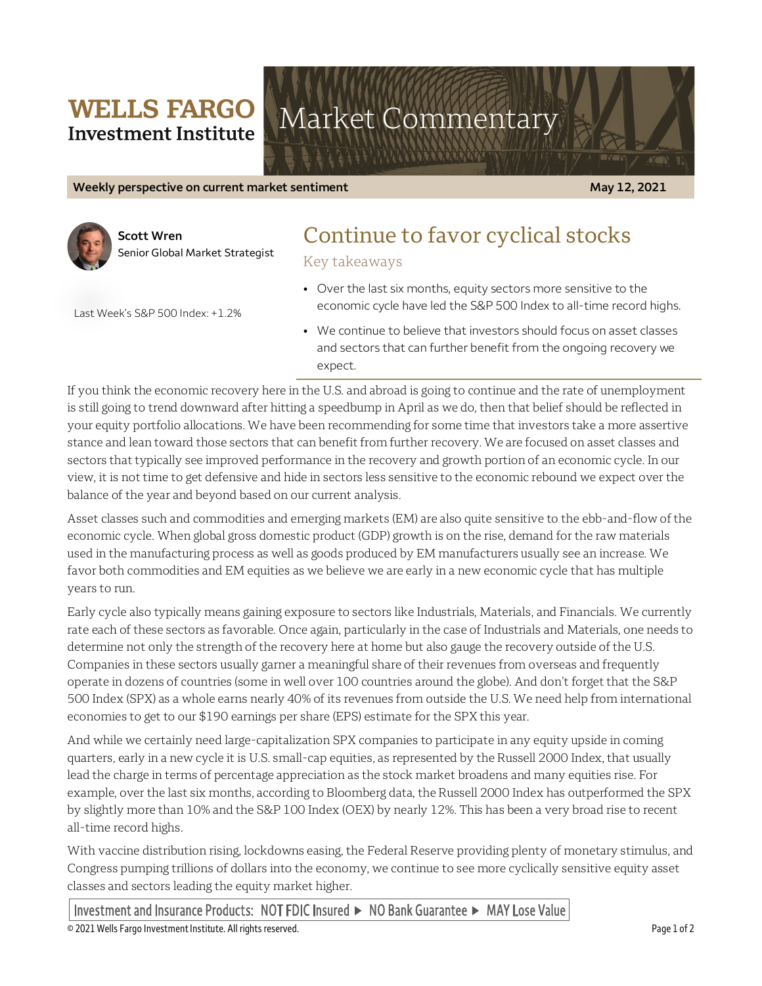### **WELLS FARGO Investment Institute**

# Market Commentary

**Weekly perspective on current market sentiment May 12, 2021** 



**Scott Wren** Senior Global Market Strategist

## Continue to favor cyclical stocks

Key takeaways

• Over the last six months, equity sectors more sensitive to the economic cycle have led the S&P 500 Index to all-time record highs.

Last Week's S&P 500 Index: +1.2%

• We continue to believe that investors should focus on asset classes and sectors that can further benefit from the ongoing recovery we expect.

If you think the economic recovery here in the U.S. and abroad is going to continue and the rate of unemployment is still going to trend downward after hitting a speedbump in April as we do, then that belief should be reflected in your equity portfolio allocations. We have been recommending for some time that investors take a more assertive stance and lean toward those sectors that can benefit from further recovery. We are focused on asset classes and sectors that typically see improved performance in the recovery and growth portion of an economic cycle. In our view, it is not time to get defensive and hide in sectors less sensitive to the economic rebound we expect over the balance of the year and beyond based on our current analysis.

Asset classes such and commodities and emerging markets (EM) are also quite sensitive to the ebb-and-flow of the economic cycle. When global gross domestic product (GDP) growth is on the rise, demand for the raw materials used in the manufacturing process as well as goods produced by EM manufacturers usually see an increase. We favor both commodities and EM equities as we believe we are early in a new economic cycle that has multiple years to run.

Early cycle also typically means gaining exposure to sectors like Industrials, Materials, and Financials. We currently rate each of these sectors as favorable. Once again, particularly in the case of Industrials and Materials, one needs to determine not only the strength of the recovery here at home but also gauge the recovery outside of the U.S. Companies in these sectors usually garner a meaningful share of their revenues from overseas and frequently operate in dozens of countries (some in well over 100 countries around the globe). And don't forget that the S&P 500 Index (SPX) as a whole earns nearly 40% of its revenues from outside the U.S. We need help from international economies to get to our \$190 earnings per share (EPS) estimate for the SPX this year.

And while we certainly need large-capitalization SPX companies to participate in any equity upside in coming quarters, early in a new cycle it is U.S. small-cap equities, as represented by the Russell 2000 Index, that usually lead the charge in terms of percentage appreciation as the stock market broadens and many equities rise. For example, over the last six months, according to Bloomberg data, the Russell 2000 Index has outperformed the SPX by slightly more than 10% and the S&P 100 Index (OEX) by nearly 12%. This has been a very broad rise to recent all-time record highs.

With vaccine distribution rising, lockdowns easing, the Federal Reserve providing plenty of monetary stimulus, and Congress pumping trillions of dollars into the economy, we continue to see more cyclically sensitive equity asset classes and sectors leading the equity market higher.

Investment and Insurance Products: NOT FDIC Insured ► NO Bank Guarantee ► MAY Lose Value

© 2021 Wells Fargo Investment Institute. All rights reserved. Page 1 of 2